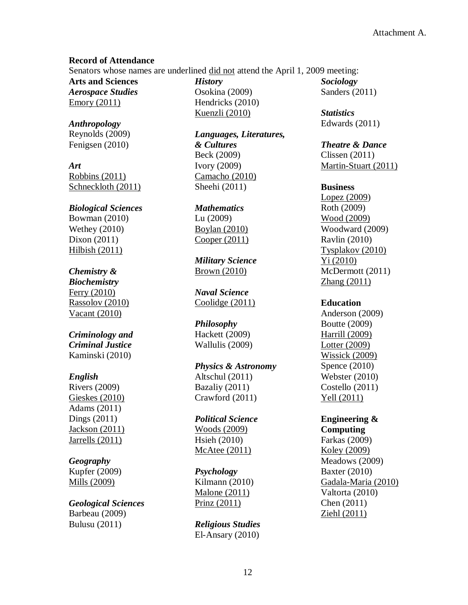### **Record of Attendance**

Senators whose names are underlined did not attend the April 1, 2009 meeting:

**Arts and Sciences** *Aerospace Studies* Emory (2011)

*Anthropology* Reynolds (2009) Fenigsen (2010)

*Art* Robbins (2011) Schneckloth (2011)

# *Biological Sciences*

Bowman (2010) Wethey (2010) Dixon (2011) Hilbish (2011)

## *Chemistry &*

*Biochemistry* Ferry (2010) Rassolov (2010) Vacant (2010)

## *Criminology and Criminal Justice* Kaminski (2010)

# *English*

Rivers (2009) Gieskes (2010) Adams (2011) Dings (2011) Jackson (2011) Jarrells (2011)

## *Geography*

Kupfer (2009) Mills (2009)

#### *Geological Sciences*

Barbeau (2009) Bulusu (2011)

*History* Osokina (2009) Hendricks (2010) Kuenzli (2010)

*Languages, Literatures, & Cultures* Beck (2009) Ivory (2009) Camacho (2010) Sheehi (2011)

*Mathematics* Lu (2009) Boylan (2010) Cooper (2011)

*Military Science* Brown (2010)

*Naval Science* Coolidge (2011)

#### *Philosophy*

Hackett (2009) Wallulis (2009)

### *Physics & Astronomy* Altschul (2011)

Bazaliy (2011) Crawford (2011)

### *Political Science*

Woods (2009) Hsieh (2010) McAtee (2011)

#### *Psychology*

Kilmann (2010) Malone (2011) Prinz (2011)

*Religious Studies* El-Ansary (2010) *Sociology* Sanders (2011)

*Statistics* Edwards (2011)

#### *Theatre & Dance*

Clissen (2011) Martin-Stuart (2011)

#### **Business**

Lopez (2009) Roth (2009) Wood (2009) Woodward (2009) Ravlin (2010) Tysplakov (2010) Yi (2010) McDermott (2011) Zhang (2011)

#### **Education**

Anderson (2009) Boutte (2009) Harrill (2009) Lotter (2009) Wissick (2009) Spence (2010) Webster (2010) Costello (2011) Yell (2011)

#### **Engineering & Computing**

Farkas (2009) Koley (2009) Meadows (2009) Baxter (2010) Gadala-Maria (2010) Valtorta (2010) Chen (2011) Ziehl (2011)